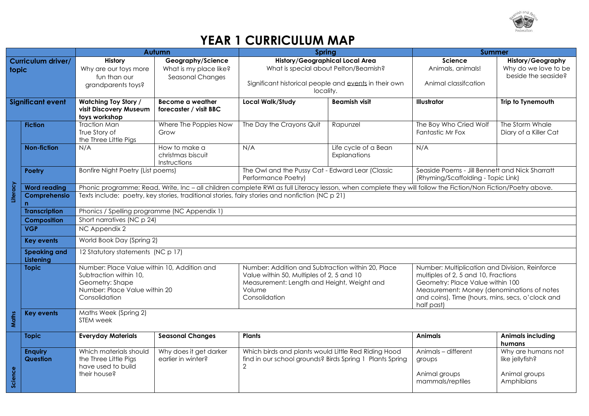

## **YEAR 1 CURRICULUM MAP**

|                             |                                   | Autumn                                                                                                                                     |                                                                        | Spring                                                                                                                                                                  |                                      | <b>Summer</b>                                                                                                                                                                                                                             |                                                                         |  |
|-----------------------------|-----------------------------------|--------------------------------------------------------------------------------------------------------------------------------------------|------------------------------------------------------------------------|-------------------------------------------------------------------------------------------------------------------------------------------------------------------------|--------------------------------------|-------------------------------------------------------------------------------------------------------------------------------------------------------------------------------------------------------------------------------------------|-------------------------------------------------------------------------|--|
| Curriculum driver/<br>topic |                                   | <b>History</b><br>Why are our toys more<br>fun than our<br>grandparents toys?                                                              | Geography/Science<br>What is my place like?<br><b>Seasonal Changes</b> | <b>History/Geographical Local Area</b><br>What is special about Pelton/Beamish?<br>Significant historical people and events in their own                                |                                      | <b>Science</b><br>Animals, animals!<br>Animal classifcation                                                                                                                                                                               | <b>History/Geography</b><br>Why do we love to be<br>beside the seaside? |  |
| <b>Significant event</b>    |                                   | <b>Watching Toy Story /</b><br>visit Discovery Museum                                                                                      | Become a weather<br>forecaster / visit BBC                             | locality.<br><b>Local Walk/Study</b><br><b>Beamish visit</b>                                                                                                            |                                      | <b>Illustrator</b>                                                                                                                                                                                                                        | Trip to Tynemouth                                                       |  |
|                             | <b>Fiction</b>                    | toys workshop<br><b>Traction Man</b><br>True Story of<br>the Three Little Pigs                                                             | Where The Poppies Now<br>Grow                                          | The Day the Crayons Quit                                                                                                                                                | Rapunzel                             | The Boy Who Cried Wolf<br>Fantastic Mr Fox                                                                                                                                                                                                | The Storm Whale<br>Diary of a Killer Cat                                |  |
|                             | <b>Non-fiction</b>                | N/A                                                                                                                                        | How to make a<br>christmas biscuit<br>Instructions                     | N/A                                                                                                                                                                     | Life cycle of a Bean<br>Explanations | N/A                                                                                                                                                                                                                                       |                                                                         |  |
|                             | <b>Poetry</b>                     | Bonfire Night Poetry (List poems)                                                                                                          |                                                                        | The Owl and the Pussy Cat - Edward Lear (Classic<br>Performance Poetry)                                                                                                 |                                      | Seaside Poems - Jill Bennett and Nick Sharratt<br>(Rhyming/Scaffolding - Topic Link)                                                                                                                                                      |                                                                         |  |
|                             | <b>Word reading</b>               |                                                                                                                                            |                                                                        | Phonic programme; Read, Write, Inc - all children complete RWI as full Literacy lesson, when complete they will follow the Fiction/Non Fiction/Poetry above.            |                                      |                                                                                                                                                                                                                                           |                                                                         |  |
| Literacy                    | Comprehensio<br>n                 | Texts include: poetry, key stories, traditional stories, fairy stories and nonfiction (NC p 21)                                            |                                                                        |                                                                                                                                                                         |                                      |                                                                                                                                                                                                                                           |                                                                         |  |
|                             | <b>Transcription</b>              | Phonics / Spelling programme (NC Appendix 1)                                                                                               |                                                                        |                                                                                                                                                                         |                                      |                                                                                                                                                                                                                                           |                                                                         |  |
|                             | <b>Composition</b>                | Short narratives (NC p 24)                                                                                                                 |                                                                        |                                                                                                                                                                         |                                      |                                                                                                                                                                                                                                           |                                                                         |  |
|                             | <b>VGP</b>                        | NC Appendix 2                                                                                                                              |                                                                        |                                                                                                                                                                         |                                      |                                                                                                                                                                                                                                           |                                                                         |  |
|                             | <b>Key events</b>                 | World Book Day (Spring 2)                                                                                                                  |                                                                        |                                                                                                                                                                         |                                      |                                                                                                                                                                                                                                           |                                                                         |  |
|                             | <b>Speaking and</b><br>Listening  | 12 Statutory statements (NC p 17)                                                                                                          |                                                                        |                                                                                                                                                                         |                                      |                                                                                                                                                                                                                                           |                                                                         |  |
|                             | <b>Topic</b>                      | Number: Place Value within 10, Addition and<br>Subtraction within 10,<br>Geometry: Shape<br>Number: Place Value within 20<br>Consolidation |                                                                        | Number: Addition and Subtraction within 20, Place<br>Value within 50, Multiples of 2, 5 and 10<br>Measurement: Length and Height, Weight and<br>Volume<br>Consolidation |                                      | Number: Multiplication and Division, Reinforce<br>multiples of 2, 5 and 10, Fractions<br>Geometry: Place Value within 100<br>Measurement: Money (denominations of notes<br>and coins), Time (hours, mins, secs, o'clock and<br>half past) |                                                                         |  |
| Maths                       | <b>Key events</b>                 | Maths Week (Spring 2)<br>STEM week                                                                                                         |                                                                        |                                                                                                                                                                         |                                      |                                                                                                                                                                                                                                           |                                                                         |  |
|                             | <b>Topic</b>                      | <b>Everyday Materials</b>                                                                                                                  | <b>Seasonal Changes</b>                                                | <b>Plants</b>                                                                                                                                                           |                                      | <b>Animals</b>                                                                                                                                                                                                                            | <b>Animals including</b><br>humans                                      |  |
| Science                     | <b>Enquiry</b><br><b>Question</b> | Which materials should<br>the Three Little Pigs<br>have used to build<br>their house?                                                      | Why does it get darker<br>earlier in winter?                           | Which birds and plants would Little Red Riding Hood<br>find in our school grounds? Birds Spring 1 Plants Spring<br>$\mathbf{2}$                                         |                                      | Animals - different<br>groups<br>Animal groups<br>mammals/reptiles                                                                                                                                                                        | Why are humans not<br>like jellyfish?<br>Animal groups<br>Amphibians    |  |
|                             |                                   |                                                                                                                                            |                                                                        |                                                                                                                                                                         |                                      |                                                                                                                                                                                                                                           |                                                                         |  |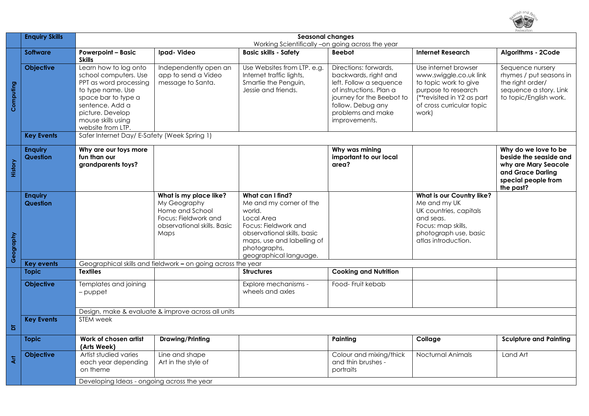

|           | <b>Enquiry Skills</b>                              | <b>Seasonal changes</b><br>Working Scientifically -on going across the year                                                                                                                            |                                                                                                                          |                                                                                                                                                                                                    |                                                                                                                                                                                             |                                                                                                                                                                    |                                                                                                                                 |  |
|-----------|----------------------------------------------------|--------------------------------------------------------------------------------------------------------------------------------------------------------------------------------------------------------|--------------------------------------------------------------------------------------------------------------------------|----------------------------------------------------------------------------------------------------------------------------------------------------------------------------------------------------|---------------------------------------------------------------------------------------------------------------------------------------------------------------------------------------------|--------------------------------------------------------------------------------------------------------------------------------------------------------------------|---------------------------------------------------------------------------------------------------------------------------------|--|
|           | <b>Software</b>                                    | <b>Powerpoint - Basic</b><br><b>Skills</b>                                                                                                                                                             | Ipad-Video                                                                                                               | <b>Basic skills - Safety</b>                                                                                                                                                                       | <b>Beebot</b>                                                                                                                                                                               | <b>Internet Research</b>                                                                                                                                           | Algorithms - 2Code                                                                                                              |  |
| Computing | <b>Objective</b>                                   | Learn how to log onto<br>school computers. Use<br>PPT as word processing<br>to type name. Use<br>space bar to type a<br>sentence. Add a<br>picture. Develop<br>mouse skills using<br>website from LTP. | Independently open an<br>app to send a Video<br>message to Santa.                                                        | Use Websites from LTP. e.g.<br>Internet traffic lights,<br>Smartie the Penguin,<br>Jessie and friends.                                                                                             | Directions: forwards,<br>backwards, right and<br>left. Follow a sequence<br>of instructions. Plan a<br>journey for the Beebot to<br>follow. Debug any<br>problems and make<br>improvements. | Use internet browser<br>www.swiggle.co.uk link<br>to topic work to give<br>purpose to research<br>(**revisited in Y2 as part<br>of cross curricular topic<br>work) | Sequence nursery<br>rhymes / put seasons in<br>the right order/<br>sequence a story. Link<br>to topic/English work.             |  |
|           | <b>Key Events</b>                                  | Safer Internet Day/ E-Safety (Week Spring 1)                                                                                                                                                           |                                                                                                                          |                                                                                                                                                                                                    |                                                                                                                                                                                             |                                                                                                                                                                    |                                                                                                                                 |  |
| History   | <b>Enguiry</b><br>Question                         | Why are our toys more<br>fun than our<br>grandparents toys?                                                                                                                                            |                                                                                                                          |                                                                                                                                                                                                    | Why was mining<br>important to our local<br>area?                                                                                                                                           |                                                                                                                                                                    | Why do we love to be<br>beside the seaside and<br>why are Mary Seacole<br>and Grace Darling<br>special people from<br>the past? |  |
| Geography | <b>Enquiry</b><br><b>Question</b>                  |                                                                                                                                                                                                        | What is my place like?<br>My Geography<br>Home and School<br>Focus: Fieldwork and<br>observational skills. Basic<br>Maps | What can I find?<br>Me and my corner of the<br>world.<br>Local Area<br>Focus: Fieldwork and<br>observational skills, basic<br>maps, use and labelling of<br>photographs,<br>geographical language. |                                                                                                                                                                                             | What is our Country like?<br>Me and my UK<br>UK countries, capitals<br>and seas.<br>Focus: map skills,<br>photograph use, basic<br>atlas introduction.             |                                                                                                                                 |  |
|           | <b>Key events</b>                                  | Geographical skills and fieldwork - on going across the year                                                                                                                                           |                                                                                                                          |                                                                                                                                                                                                    |                                                                                                                                                                                             |                                                                                                                                                                    |                                                                                                                                 |  |
|           | <b>Topic</b>                                       | <b>Textiles</b>                                                                                                                                                                                        |                                                                                                                          | <b>Structures</b>                                                                                                                                                                                  | <b>Cooking and Nutrition</b>                                                                                                                                                                |                                                                                                                                                                    |                                                                                                                                 |  |
|           | Objective                                          | Templates and joining<br>– puppet                                                                                                                                                                      |                                                                                                                          | Explore mechanisms -<br>wheels and axles                                                                                                                                                           | Food-Fruit kebab                                                                                                                                                                            |                                                                                                                                                                    |                                                                                                                                 |  |
|           | Design, make & evaluate & improve across all units |                                                                                                                                                                                                        |                                                                                                                          |                                                                                                                                                                                                    |                                                                                                                                                                                             |                                                                                                                                                                    |                                                                                                                                 |  |
| Б         | <b>Key Events</b>                                  | <b>STEM</b> week                                                                                                                                                                                       |                                                                                                                          |                                                                                                                                                                                                    |                                                                                                                                                                                             |                                                                                                                                                                    |                                                                                                                                 |  |
|           | <b>Topic</b>                                       | Work of chosen artist<br>(Arts Week)                                                                                                                                                                   | Drawing/Printing                                                                                                         |                                                                                                                                                                                                    | Painting                                                                                                                                                                                    | Collage                                                                                                                                                            | <b>Sculpture and Painting</b>                                                                                                   |  |
| 专         | Objective                                          | Artist studied varies<br>each year depending<br>on theme                                                                                                                                               | Line and shape<br>Art in the style of                                                                                    |                                                                                                                                                                                                    | Colour and mixing/thick<br>and thin brushes -<br>portraits                                                                                                                                  | Nocturnal Animals                                                                                                                                                  | Land Art                                                                                                                        |  |
|           |                                                    | Developing Ideas - ongoing across the year                                                                                                                                                             |                                                                                                                          |                                                                                                                                                                                                    |                                                                                                                                                                                             |                                                                                                                                                                    |                                                                                                                                 |  |